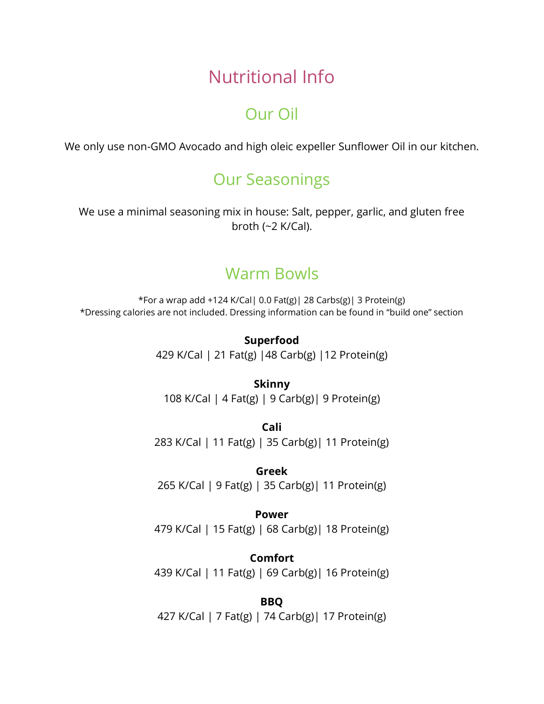# Nutritional Info

# Our Oil

We only use non-GMO Avocado and high oleic expeller Sunflower Oil in our kitchen.

## Our Seasonings

We use a minimal seasoning mix in house: Salt, pepper, garlic, and gluten free broth (~2 K/Cal).

# Warm Bowls

\*For a wrap add +124 K/Cal| 0.0 Fat(g)| 28 Carbs(g)| 3 Protein(g) \*Dressing calories are not included. Dressing information can be found in "build one" section

> **Superfood** 429 K/Cal | 21 Fat(g) |48 Carb(g) |12 Protein(g)

**Skinny** 108 K/Cal | 4 Fat(g) | 9 Carb(g)| 9 Protein(g)

**Cali** 283 K/Cal | 11 Fat(g) | 35 Carb(g)| 11 Protein(g)

**Greek** 265 K/Cal | 9 Fat(g) | 35 Carb(g)| 11 Protein(g)

#### **Power**

479 K/Cal | 15 Fat(g) | 68 Carb(g)| 18 Protein(g)

**Comfort** 439 K/Cal | 11 Fat(g) | 69 Carb(g)| 16 Protein(g)

**BBQ** 427 K/Cal | 7 Fat(g) | 74 Carb(g)| 17 Protein(g)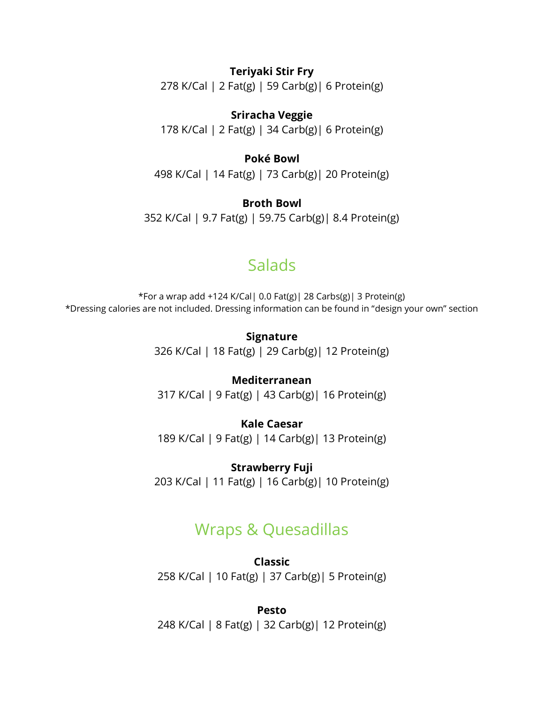#### **Teriyaki Stir Fry**

278 K/Cal | 2 Fat(g) | 59 Carb(g)| 6 Protein(g)

**Sriracha Veggie** 178 K/Cal | 2 Fat(g) | 34 Carb(g)| 6 Protein(g)

#### **Poké Bowl**

498 K/Cal | 14 Fat(g) | 73 Carb(g)| 20 Protein(g)

**Broth Bowl** 352 K/Cal | 9.7 Fat(g) | 59.75 Carb(g)| 8.4 Protein(g)

## Salads

\*For a wrap add +124 K/Cal| 0.0 Fat(g)| 28 Carbs(g)| 3 Protein(g) \*Dressing calories are not included. Dressing information can be found in "design your own" section

> **Signature** 326 K/Cal | 18 Fat(g) | 29 Carb(g)| 12 Protein(g)

> **Mediterranean** 317 K/Cal | 9 Fat(g) | 43 Carb(g)| 16 Protein(g)

> **Kale Caesar** 189 K/Cal | 9 Fat(g) | 14 Carb(g)| 13 Protein(g)

**Strawberry Fuji** 203 K/Cal | 11 Fat(g) | 16 Carb(g)| 10 Protein(g)

## Wraps & Quesadillas

**Classic** 258 K/Cal | 10 Fat(g) | 37 Carb(g)| 5 Protein(g)

**Pesto** 248 K/Cal | 8 Fat(g) | 32 Carb(g)| 12 Protein(g)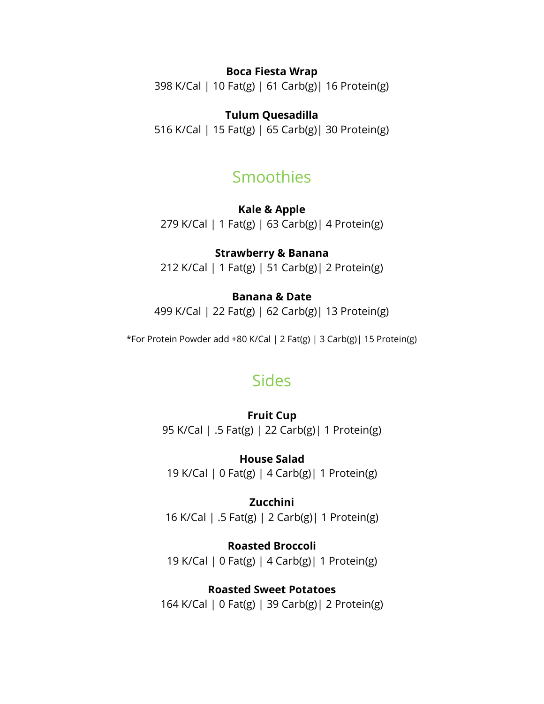#### **Boca Fiesta Wrap**

398 K/Cal | 10 Fat(g) | 61 Carb(g)| 16 Protein(g)

#### **Tulum Quesadilla**

516 K/Cal | 15 Fat(g) | 65 Carb(g)| 30 Protein(g)

## Smoothies

**Kale & Apple** 279 K/Cal | 1 Fat(g) | 63 Carb(g)| 4 Protein(g)

#### **Strawberry & Banana**

212 K/Cal | 1 Fat(g) | 51 Carb(g)| 2 Protein(g)

#### **Banana & Date**

499 K/Cal | 22 Fat(g) | 62 Carb(g)| 13 Protein(g)

\*For Protein Powder add +80 K/Cal | 2 Fat(g) | 3 Carb(g)| 15 Protein(g)

## Sides

**Fruit Cup** 95 K/Cal | .5 Fat(g) | 22 Carb(g)| 1 Protein(g)

**House Salad** 19 K/Cal | 0 Fat(g) | 4 Carb(g)| 1 Protein(g)

**Zucchini** 16 K/Cal | .5 Fat(g) | 2 Carb(g)| 1 Protein(g)

**Roasted Broccoli** 19 K/Cal | 0 Fat(g) | 4 Carb(g)| 1 Protein(g)

#### **Roasted Sweet Potatoes**

164 K/Cal | 0 Fat(g) | 39 Carb(g)| 2 Protein(g)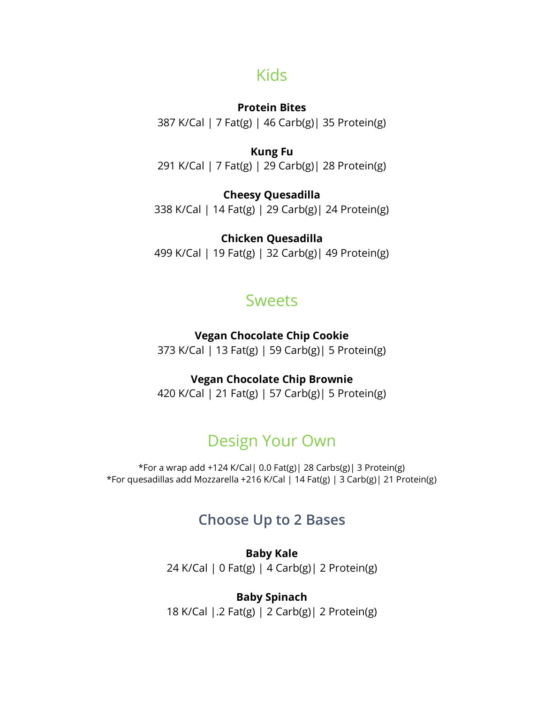## Kids

#### **Protein Bites**

387 K/Cal | 7 Fat(g) | 46 Carb(g)| 35 Protein(g)

#### **Kung Fu**

291 K/Cal | 7 Fat(g) | 29 Carb(g)| 28 Protein(g)

#### **Cheesy Quesadilla**

338 K/Cal | 14 Fat(g) | 29 Carb(g)| 24 Protein(g)

#### **Chicken Quesadilla**

499 K/Cal | 19 Fat(g) | 32 Carb(g)| 49 Protein(g)

## **Sweets**

#### **Vegan Chocolate Chip Cookie**

373 K/Cal | 13 Fat(g) | 59 Carb(g)| 5 Protein(g)

#### **Vegan Chocolate Chip Brownie**

420 K/Cal | 21 Fat(g) | 57 Carb(g)| 5 Protein(g)

# Design Your Own

\*For a wrap add +124 K/Cal| 0.0 Fat(g)| 28 Carbs(g)| 3 Protein(g) \*For quesadillas add Mozzarella +216 K/Cal | 14 Fat(g) | 3 Carb(g)| 21 Protein(g)

## **Choose Up to 2 Bases**

**Baby Kale** 24 K/Cal | 0 Fat(g) | 4 Carb(g)| 2 Protein(g)

**Baby Spinach** 18 K/Cal |.2 Fat(g) | 2 Carb(g)| 2 Protein(g)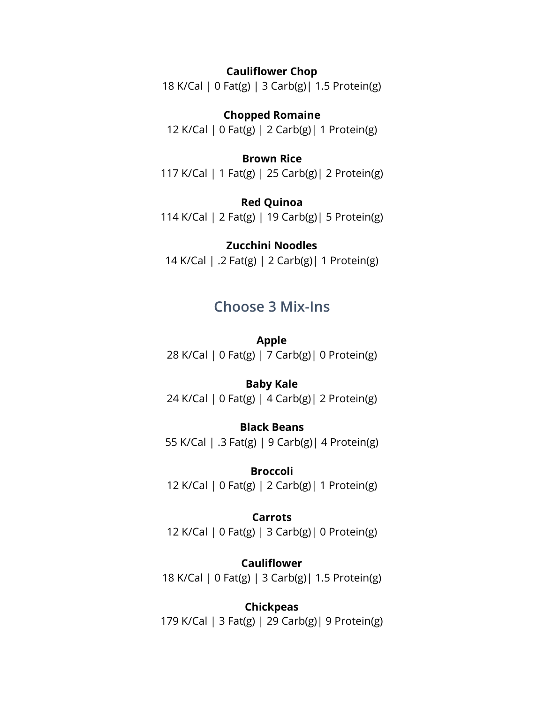#### **Cauliflower Chop**

18 K/Cal | 0 Fat(g) | 3 Carb(g)| 1.5 Protein(g)

**Chopped Romaine** 12 K/Cal | 0 Fat(g) | 2 Carb(g)| 1 Protein(g)

#### **Brown Rice**

117 K/Cal | 1 Fat(g) | 25 Carb(g)| 2 Protein(g)

**Red Quinoa** 114 K/Cal | 2 Fat(g) | 19 Carb(g)| 5 Protein(g)

#### **Zucchini Noodles**

14 K/Cal | .2 Fat(g) | 2 Carb(g)| 1 Protein(g)

## **Choose 3 Mix-Ins**

**Apple** 28 K/Cal | 0 Fat(g) | 7 Carb(g)| 0 Protein(g)

#### **Baby Kale**

24 K/Cal | 0 Fat(g) | 4 Carb(g)| 2 Protein(g)

### **Black Beans**

55 K/Cal | .3 Fat(g) | 9 Carb(g)| 4 Protein(g)

#### **Broccoli**

12 K/Cal | 0 Fat(g) | 2 Carb(g)| 1 Protein(g)

#### **Carrots**

12 K/Cal | 0 Fat(g) | 3 Carb(g)| 0 Protein(g)

#### **Cauliflower** 18 K/Cal | 0 Fat(g) | 3 Carb(g)| 1.5 Protein(g)

### **Chickpeas**

179 K/Cal | 3 Fat(g) | 29 Carb(g)| 9 Protein(g)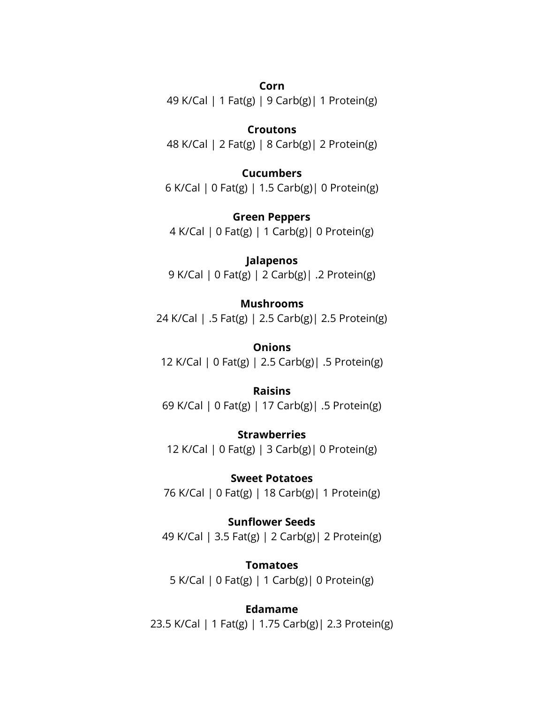#### **Corn**

49 K/Cal | 1 Fat(g) | 9 Carb(g)| 1 Protein(g)

#### **Croutons**

48 K/Cal | 2 Fat(g) | 8 Carb(g)| 2 Protein(g)

#### **Cucumbers**

6 K/Cal | 0 Fat(g) | 1.5 Carb(g)| 0 Protein(g)

**Green Peppers** 4 K/Cal | 0 Fat(g) | 1 Carb(g)| 0 Protein(g)

**Jalapenos** 9 K/Cal | 0 Fat(g) | 2 Carb(g)| .2 Protein(g)

#### **Mushrooms**

24 K/Cal | .5 Fat(g) | 2.5 Carb(g)| 2.5 Protein(g)

**Onions** 12 K/Cal | 0 Fat(g) | 2.5 Carb(g)| .5 Protein(g)

#### **Raisins**

69 K/Cal | 0 Fat(g) | 17 Carb(g)| .5 Protein(g)

**Strawberries** 12 K/Cal | 0 Fat(g) | 3 Carb(g)| 0 Protein(g)

**Sweet Potatoes** 76 K/Cal | 0 Fat(g) | 18 Carb(g)| 1 Protein(g)

**Sunflower Seeds** 49 K/Cal | 3.5 Fat(g) | 2 Carb(g)| 2 Protein(g)

**Tomatoes** 5 K/Cal | 0 Fat(g) | 1 Carb(g)| 0 Protein(g)

**Edamame** 23.5 K/Cal | 1 Fat(g) | 1.75 Carb(g)| 2.3 Protein(g)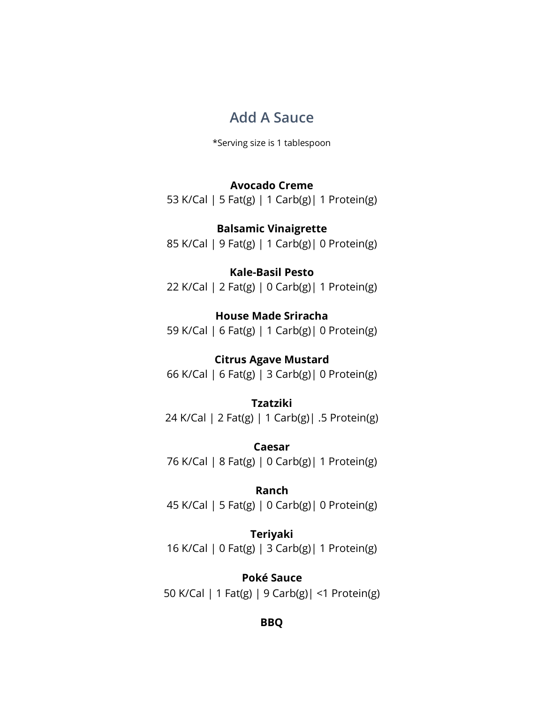## **Add A Sauce**

\*Serving size is 1 tablespoon

#### **Avocado Creme**

53 K/Cal | 5 Fat(g) | 1 Carb(g)| 1 Protein(g)

**Balsamic Vinaigrette** 85 K/Cal | 9 Fat(g) | 1 Carb(g)| 0 Protein(g)

#### **Kale-Basil Pesto**

22 K/Cal | 2 Fat(g) | 0 Carb(g)| 1 Protein(g)

#### **House Made Sriracha**

59 K/Cal | 6 Fat(g) | 1 Carb(g)| 0 Protein(g)

#### **Citrus Agave Mustard**

66 K/Cal | 6 Fat(g) | 3 Carb(g)| 0 Protein(g)

#### **Tzatziki**

24 K/Cal | 2 Fat(g) | 1 Carb(g)| .5 Protein(g)

**Caesar** 76 K/Cal | 8 Fat(g) | 0 Carb(g)| 1 Protein(g)

#### **Ranch**

45 K/Cal | 5 Fat(g) | 0 Carb(g)| 0 Protein(g)

#### **Teriyaki**

16 K/Cal | 0 Fat(g) | 3 Carb(g)| 1 Protein(g)

#### **Poké Sauce**

50 K/Cal | 1 Fat(g) | 9 Carb(g)| <1 Protein(g)

#### **BBQ**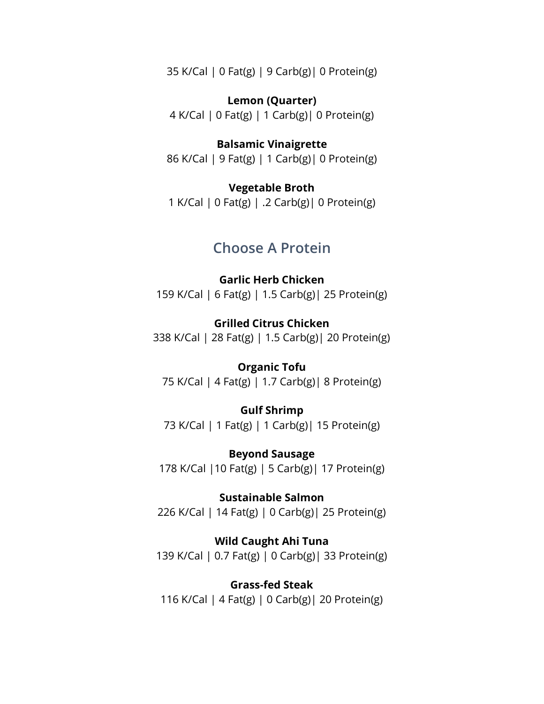35 K/Cal | 0 Fat(g) | 9 Carb(g)| 0 Protein(g)

**Lemon (Quarter)** 4 K/Cal | 0 Fat(g) | 1 Carb(g)| 0 Protein(g)

**Balsamic Vinaigrette** 86 K/Cal | 9 Fat(g) | 1 Carb(g)| 0 Protein(g)

**Vegetable Broth** 1 K/Cal | 0 Fat(g) | .2 Carb(g)| 0 Protein(g)

### **Choose A Protein**

**Garlic Herb Chicken** 159 K/Cal | 6 Fat(g) | 1.5 Carb(g)| 25 Protein(g)

**Grilled Citrus Chicken** 338 K/Cal | 28 Fat(g) | 1.5 Carb(g)| 20 Protein(g)

**Organic Tofu** 75 K/Cal | 4 Fat(g) | 1.7 Carb(g)| 8 Protein(g)

**Gulf Shrimp** 73 K/Cal | 1 Fat(g) | 1 Carb(g)| 15 Protein(g)

**Beyond Sausage** 178 K/Cal |10 Fat(g) | 5 Carb(g)| 17 Protein(g)

**Sustainable Salmon** 226 K/Cal | 14 Fat(g) | 0 Carb(g)| 25 Protein(g)

**Wild Caught Ahi Tuna** 139 K/Cal | 0.7 Fat(g) | 0 Carb(g)| 33 Protein(g)

**Grass-fed Steak** 116 K/Cal | 4 Fat(g) | 0 Carb(g)| 20 Protein(g)